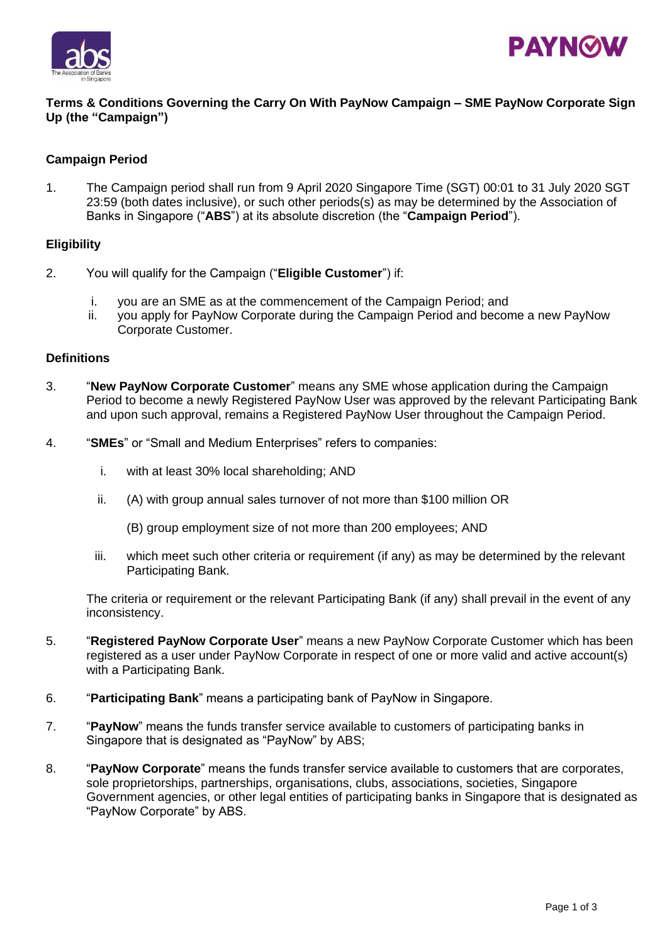



## **Terms & Conditions Governing the Carry On With PayNow Campaign – SME PayNow Corporate Sign Up (the "Campaign")**

## **Campaign Period**

1. The Campaign period shall run from 9 April 2020 Singapore Time (SGT) 00:01 to 31 July 2020 SGT 23:59 (both dates inclusive), or such other periods(s) as may be determined by the Association of Banks in Singapore ("**ABS**") at its absolute discretion (the "**Campaign Period**").

#### **Eligibility**

- 2. You will qualify for the Campaign ("**Eligible Customer**") if:
	- i. you are an SME as at the commencement of the Campaign Period; and
	- ii. you apply for PayNow Corporate during the Campaign Period and become a new PayNow Corporate Customer.

### **Definitions**

- 3. "**New PayNow Corporate Customer**" means any SME whose application during the Campaign Period to become a newly Registered PayNow User was approved by the relevant Participating Bank and upon such approval, remains a Registered PayNow User throughout the Campaign Period.
- 4. "**SMEs**" or "Small and Medium Enterprises" refers to companies:
	- i. with at least 30% local shareholding; AND
	- ii. (A) with group annual sales turnover of not more than \$100 million OR
		- (B) group employment size of not more than 200 employees; AND
	- iii. which meet such other criteria or requirement (if any) as may be determined by the relevant Participating Bank.

The criteria or requirement or the relevant Participating Bank (if any) shall prevail in the event of any inconsistency.

- 5. "**Registered PayNow Corporate User**" means a new PayNow Corporate Customer which has been registered as a user under PayNow Corporate in respect of one or more valid and active account(s) with a Participating Bank.
- 6. "**Participating Bank**" means a participating bank of PayNow in Singapore.
- 7. "**PayNow**" means the funds transfer service available to customers of participating banks in Singapore that is designated as "PayNow" by ABS;
- 8. "**PayNow Corporate**" means the funds transfer service available to customers that are corporates, sole proprietorships, partnerships, organisations, clubs, associations, societies, Singapore Government agencies, or other legal entities of participating banks in Singapore that is designated as "PayNow Corporate" by ABS.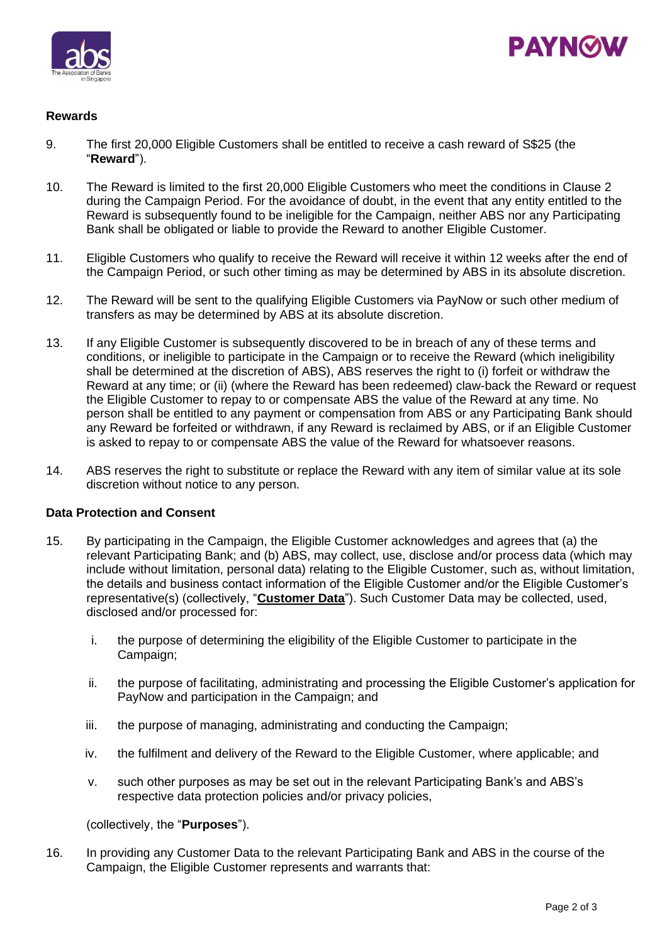



# **Rewards**

- 9. The first 20,000 Eligible Customers shall be entitled to receive a cash reward of S\$25 (the "**Reward**").
- 10. The Reward is limited to the first 20,000 Eligible Customers who meet the conditions in Clause 2 during the Campaign Period. For the avoidance of doubt, in the event that any entity entitled to the Reward is subsequently found to be ineligible for the Campaign, neither ABS nor any Participating Bank shall be obligated or liable to provide the Reward to another Eligible Customer.
- 11. Eligible Customers who qualify to receive the Reward will receive it within 12 weeks after the end of the Campaign Period, or such other timing as may be determined by ABS in its absolute discretion.
- 12. The Reward will be sent to the qualifying Eligible Customers via PayNow or such other medium of transfers as may be determined by ABS at its absolute discretion.
- 13. If any Eligible Customer is subsequently discovered to be in breach of any of these terms and conditions, or ineligible to participate in the Campaign or to receive the Reward (which ineligibility shall be determined at the discretion of ABS), ABS reserves the right to (i) forfeit or withdraw the Reward at any time; or (ii) (where the Reward has been redeemed) claw-back the Reward or request the Eligible Customer to repay to or compensate ABS the value of the Reward at any time. No person shall be entitled to any payment or compensation from ABS or any Participating Bank should any Reward be forfeited or withdrawn, if any Reward is reclaimed by ABS, or if an Eligible Customer is asked to repay to or compensate ABS the value of the Reward for whatsoever reasons.
- 14. ABS reserves the right to substitute or replace the Reward with any item of similar value at its sole discretion without notice to any person.

#### **Data Protection and Consent**

- 15. By participating in the Campaign, the Eligible Customer acknowledges and agrees that (a) the relevant Participating Bank; and (b) ABS, may collect, use, disclose and/or process data (which may include without limitation, personal data) relating to the Eligible Customer, such as, without limitation, the details and business contact information of the Eligible Customer and/or the Eligible Customer's representative(s) (collectively, "**Customer Data**"). Such Customer Data may be collected, used, disclosed and/or processed for:
	- i. the purpose of determining the eligibility of the Eligible Customer to participate in the Campaign;
	- ii. the purpose of facilitating, administrating and processing the Eligible Customer's application for PayNow and participation in the Campaign; and
	- iii. the purpose of managing, administrating and conducting the Campaign;
	- iv. the fulfilment and delivery of the Reward to the Eligible Customer, where applicable; and
	- v. such other purposes as may be set out in the relevant Participating Bank's and ABS's respective data protection policies and/or privacy policies,

(collectively, the "**Purposes**").

16. In providing any Customer Data to the relevant Participating Bank and ABS in the course of the Campaign, the Eligible Customer represents and warrants that: